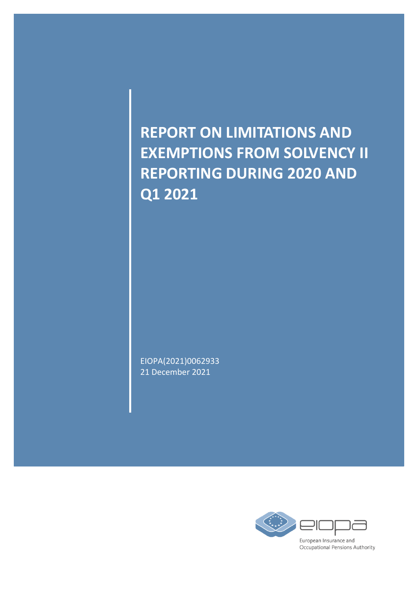**REPORT ON LIMITATIONS AND EXEMPTIONS FROM SOLVENCY II REPORTING DURING 2020 AND Q1 2021**

EIOPA(2021)0062933 21 December 2021

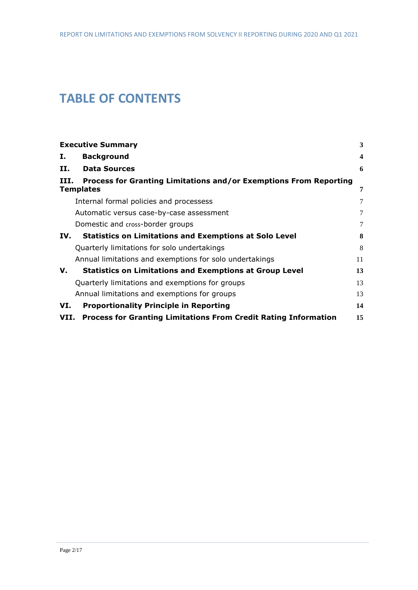# **TABLE OF CONTENTS**

|      | <b>Executive Summary</b>                                                              | $\mathbf{3}$            |
|------|---------------------------------------------------------------------------------------|-------------------------|
| I.   | <b>Background</b>                                                                     | $\overline{\mathbf{4}}$ |
| П.   | <b>Data Sources</b>                                                                   | 6                       |
| III. | Process for Granting Limitations and/or Exemptions From Reporting<br><b>Templates</b> | 7                       |
|      | Internal formal policies and processess                                               | 7                       |
|      | Automatic versus case-by-case assessment                                              | 7                       |
|      | Domestic and cross-border groups                                                      | 7                       |
| IV.  | <b>Statistics on Limitations and Exemptions at Solo Level</b>                         | 8                       |
|      | Quarterly limitations for solo undertakings                                           | 8                       |
|      | Annual limitations and exemptions for solo undertakings                               | 11                      |
| v.   | <b>Statistics on Limitations and Exemptions at Group Level</b>                        | 13                      |
|      | Quarterly limitations and exemptions for groups                                       | 13                      |
|      | Annual limitations and exemptions for groups                                          | 13                      |
| VI.  | <b>Proportionality Principle in Reporting</b>                                         | 14                      |
| VII. | <b>Process for Granting Limitations From Credit Rating Information</b>                | 15                      |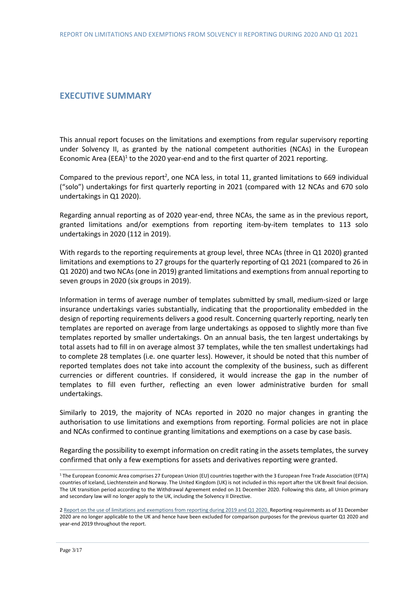### <span id="page-2-0"></span>**EXECUTIVE SUMMARY**

This annual report focuses on the limitations and exemptions from regular supervisory reporting under Solvency II, as granted by the national competent authorities (NCAs) in the European Economic Area (EEA) $1$  to the 2020 year-end and to the first quarter of 2021 reporting.

Compared to the previous report<sup>2</sup>, one NCA less, in total 11, granted limitations to 669 individual ("solo") undertakings for first quarterly reporting in 2021 (compared with 12 NCAs and 670 solo undertakings in Q1 2020).

Regarding annual reporting as of 2020 year-end, three NCAs, the same as in the previous report, granted limitations and/or exemptions from reporting item-by-item templates to 113 solo undertakings in 2020 (112 in 2019).

With regards to the reporting requirements at group level, three NCAs (three in Q1 2020) granted limitations and exemptions to 27 groups for the quarterly reporting of Q1 2021 (compared to 26 in Q1 2020) and two NCAs (one in 2019) granted limitations and exemptions from annual reporting to seven groups in 2020 (six groups in 2019).

Information in terms of average number of templates submitted by small, medium-sized or large insurance undertakings varies substantially, indicating that the proportionality embedded in the design of reporting requirements delivers a good result. Concerning quarterly reporting, nearly ten templates are reported on average from large undertakings as opposed to slightly more than five templates reported by smaller undertakings. On an annual basis, the ten largest undertakings by total assets had to fill in on average almost 37 templates, while the ten smallest undertakings had to complete 28 templates (i.e. one quarter less). However, it should be noted that this number of reported templates does not take into account the complexity of the business, such as different currencies or different countries. If considered, it would increase the gap in the number of templates to fill even further, reflecting an even lower administrative burden for small undertakings.

Similarly to 2019, the majority of NCAs reported in 2020 no major changes in granting the authorisation to use limitations and exemptions from reporting. Formal policies are not in place and NCAs confirmed to continue granting limitations and exemptions on a case by case basis.

Regarding the possibility to exempt information on credit rating in the assets templates, the survey confirmed that only a few exemptions for assets and derivatives reporting were granted.

<sup>1</sup> The European Economic Area comprises 27 European Union (EU) countries together with the 3 European Free Trade Association (EFTA) countries of Iceland, Liechtenstein and Norway. The United Kingdom (UK) is not included in this report after the UK Brexit final decision. The UK transition period according to the Withdrawal Agreement ended on 31 December 2020. Following this date, all Union primary and secondary law will no longer apply to the UK, including the Solvency II Directive.

<sup>2</sup> [Report on the use of limitations and exemptions from reporting during 2019 and Q1 2020.](https://www.eiopa.europa.eu/document-library/report/report-use-of-limitations-and-exemptions-reporting-during-2019-and-q1-2020_en) Reporting requirements as of 31 December 2020 are no longer applicable to the UK and hence have been excluded for comparison purposes for the previous quarter Q1 2020 and year-end 2019 throughout the report.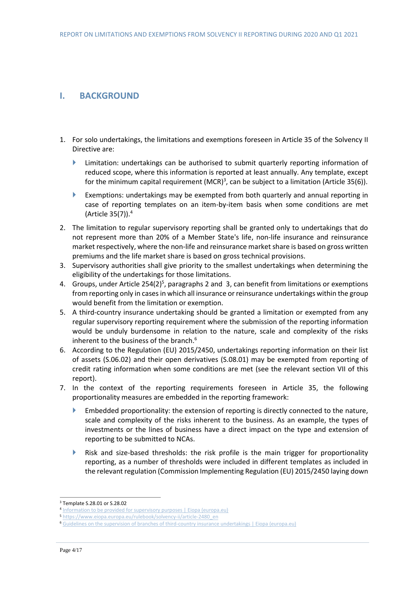## <span id="page-3-0"></span>**I. BACKGROUND**

- 1. For solo undertakings, the limitations and exemptions foreseen in Article 35 of the Solvency II Directive are:
	- **EXECUTE:** Limitation: undertakings can be authorised to submit quarterly reporting information of reduced scope, where this information is reported at least annually. Any template, except for the minimum capital requirement (MCR)<sup>3</sup>, can be subject to a limitation (Article 35(6)).
	- Exemptions: undertakings may be exempted from both quarterly and annual reporting in case of reporting templates on an item-by-item basis when some conditions are met (Article 35(7)). 4
- 2. The limitation to regular supervisory reporting shall be granted only to undertakings that do not represent more than 20% of a Member State's life, non-life insurance and reinsurance market respectively, where the non-life and reinsurance market share is based on gross written premiums and the life market share is based on gross technical provisions.
- 3. Supervisory authorities shall give priority to the smallest undertakings when determining the eligibility of the undertakings for those limitations.
- 4. Groups, under Article 254(2)<sup>5</sup>, paragraphs 2 and 3, can benefit from limitations or exemptions from reporting only in cases in which all insurance or reinsurance undertakings within the group would benefit from the limitation or exemption.
- 5. A third-country insurance undertaking should be granted a limitation or exempted from any regular supervisory reporting requirement where the submission of the reporting information would be unduly burdensome in relation to the nature, scale and complexity of the risks inherent to the business of the branch.<sup>6</sup>
- 6. According to the Regulation (EU) 2015/2450, undertakings reporting information on their list of assets (S.06.02) and their open derivatives (S.08.01) may be exempted from reporting of credit rating information when some conditions are met (see the relevant section VII of this report).
- 7. In the context of the reporting requirements foreseen in Article 35, the following proportionality measures are embedded in the reporting framework:
	- Embedded proportionality: the extension of reporting is directly connected to the nature, scale and complexity of the risks inherent to the business. As an example, the types of investments or the lines of business have a direct impact on the type and extension of reporting to be submitted to NCAs.
	- Risk and size-based thresholds: the risk profile is the main trigger for proportionality reporting, as a number of thresholds were included in different templates as included in the relevant regulation (Commission Implementing Regulation (EU) 2015/2450 laying down

<sup>3</sup> Template S.28.01 or S.28.02

<sup>4</sup> [Information to be provided for supervisory purposes | Eiopa \(europa.eu\)](https://www.eiopa.europa.eu/rulebook/solvency-ii/article-2216_en)

<sup>5</sup> [https://www.eiopa.europa.eu/rulebook/solvency-ii/article-2480\\_en](https://www.eiopa.europa.eu/rulebook/solvency-ii/article-2480_en)

<sup>6</sup> [Guidelines on the supervision of branches of third-country insurance undertakings | Eiopa \(europa.eu\)](https://www.eiopa.europa.eu/document-library/guidelines/guidelines-supervision-of-branches-of-third-country-insurance)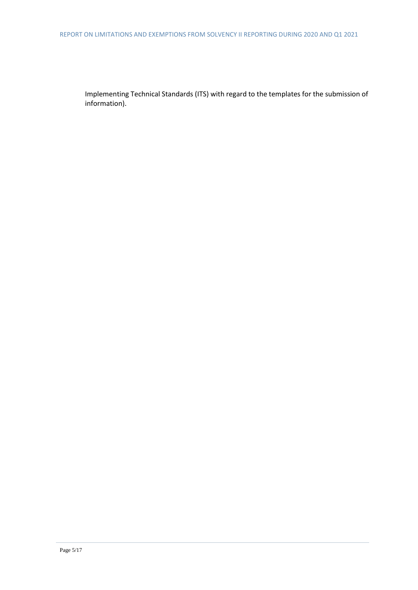Implementing Technical Standards (ITS) with regard to the templates for the submission of information).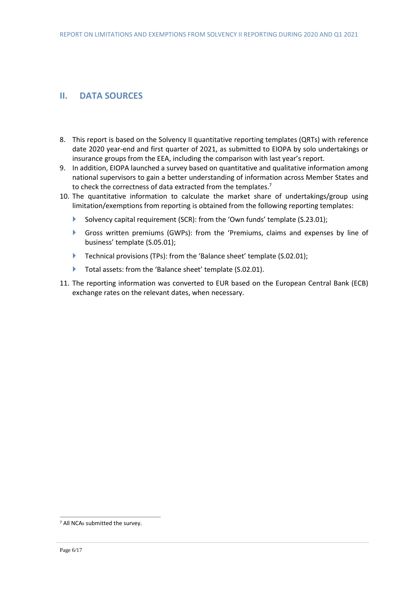# <span id="page-5-0"></span>**II. DATA SOURCES**

- 8. This report is based on the Solvency II quantitative reporting templates (QRTs) with reference date 2020 year-end and first quarter of 2021, as submitted to EIOPA by solo undertakings or insurance groups from the EEA, including the comparison with last year's report.
- 9. In addition, EIOPA launched a survey based on quantitative and qualitative information among national supervisors to gain a better understanding of information across Member States and to check the correctness of data extracted from the templates.<sup>7</sup>
- 10. The quantitative information to calculate the market share of undertakings/group using limitation/exemptions from reporting is obtained from the following reporting templates:
	- Solvency capital requirement (SCR): from the 'Own funds' template (S.23.01);
	- Gross written premiums (GWPs): from the 'Premiums, claims and expenses by line of business' template (S.05.01);
	- Technical provisions (TPs): from the 'Balance sheet' template (S.02.01);
	- Total assets: from the 'Balance sheet' template (S.02.01).
- 11. The reporting information was converted to EUR based on the European Central Bank (ECB) exchange rates on the relevant dates, when necessary.

<sup>7</sup> All NCAs submitted the survey.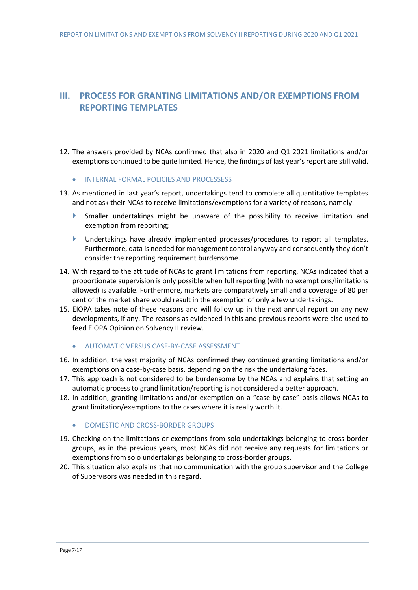# <span id="page-6-0"></span>**III. PROCESS FOR GRANTING LIMITATIONS AND/OR EXEMPTIONS FROM REPORTING TEMPLATES**

- 12. The answers provided by NCAs confirmed that also in 2020 and Q1 2021 limitations and/or exemptions continued to be quite limited. Hence, the findings of last year's report are still valid.
	- INTERNAL FORMAL POLICIES AND PROCESSESS
- <span id="page-6-1"></span>13. As mentioned in last year's report, undertakings tend to complete all quantitative templates and not ask their NCAs to receive limitations/exemptions for a variety of reasons, namely:
	- Smaller undertakings might be unaware of the possibility to receive limitation and exemption from reporting;
	- Undertakings have already implemented processes/procedures to report all templates. Furthermore, data is needed for management control anyway and consequently they don't consider the reporting requirement burdensome.
- 14. With regard to the attitude of NCAs to grant limitations from reporting, NCAs indicated that a proportionate supervision is only possible when full reporting (with no exemptions/limitations allowed) is available. Furthermore, markets are comparatively small and a coverage of 80 per cent of the market share would result in the exemption of only a few undertakings.
- 15. EIOPA takes note of these reasons and will follow up in the next annual report on any new developments, if any. The reasons as evidenced in this and previous reports were also used to feed EIOPA Opinion on Solvency II review.
	- AUTOMATIC VERSUS CASE-BY-CASE ASSESSMENT
- <span id="page-6-2"></span>16. In addition, the vast majority of NCAs confirmed they continued granting limitations and/or exemptions on a case-by-case basis, depending on the risk the undertaking faces.
- 17. This approach is not considered to be burdensome by the NCAs and explains that setting an automatic process to grand limitation/reporting is not considered a better approach.
- 18. In addition, granting limitations and/or exemption on a "case-by-case" basis allows NCAs to grant limitation/exemptions to the cases where it is really worth it.
	- **DOMESTIC AND CROSS-BORDER GROUPS**
- <span id="page-6-3"></span>19. Checking on the limitations or exemptions from solo undertakings belonging to cross-border groups, as in the previous years, most NCAs did not receive any requests for limitations or exemptions from solo undertakings belonging to cross-border groups.
- 20. This situation also explains that no communication with the group supervisor and the College of Supervisors was needed in this regard.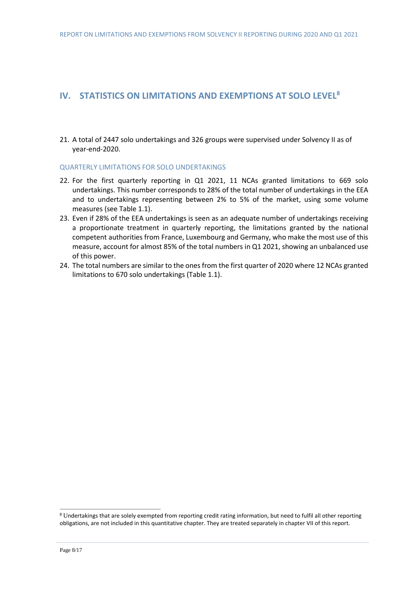## <span id="page-7-0"></span>**IV. STATISTICS ON LIMITATIONS AND EXEMPTIONS AT SOLO LEVEL<sup>8</sup>**

21. A total of 2447 solo undertakings and 326 groups were supervised under Solvency II as of year-end-2020.

#### <span id="page-7-1"></span>QUARTERLY LIMITATIONS FOR SOLO UNDERTAKINGS

- 22. For the first quarterly reporting in Q1 2021, 11 NCAs granted limitations to 669 solo undertakings. This number corresponds to 28% of the total number of undertakings in the EEA and to undertakings representing between 2% to 5% of the market, using some volume measures (see Table 1.1).
- 23. Even if 28% of the EEA undertakings is seen as an adequate number of undertakings receiving a proportionate treatment in quarterly reporting, the limitations granted by the national competent authorities from France, Luxembourg and Germany, who make the most use of this measure, account for almost 85% of the total numbers in Q1 2021, showing an unbalanced use of this power.
- 24. The total numbers are similar to the ones from the first quarter of 2020 where 12 NCAs granted limitations to 670 solo undertakings (Table 1.1).

<sup>8</sup> Undertakings that are solely exempted from reporting credit rating information, but need to fulfil all other reporting obligations, are not included in this quantitative chapter. They are treated separately in chapter VII of this report.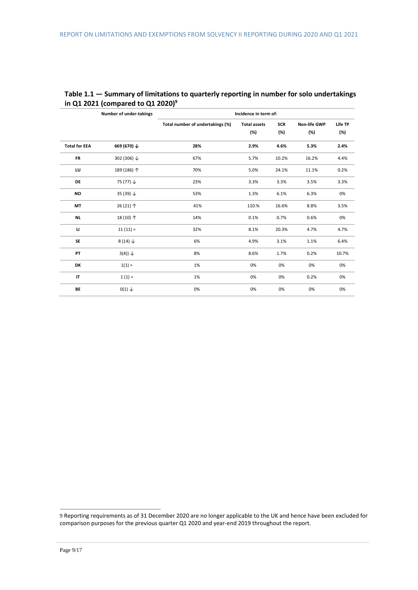|                      | <b>Number of under-takings</b> | Incidence in term of:            |                     |            |                     |         |
|----------------------|--------------------------------|----------------------------------|---------------------|------------|---------------------|---------|
|                      |                                | Total number of undertakings (%) | <b>Total assets</b> | <b>SCR</b> | <b>Non-life GWP</b> | Life TP |
|                      |                                |                                  | (%)                 | (%)        | (%)                 | (%)     |
| <b>Total for EEA</b> | 669 (670) ↓                    | 28%                              | 2.9%                | 4.6%       | 5.3%                | 2.4%    |
| <b>FR</b>            | 302 (306) ↓                    | 67%                              | 5.7%                | 10.2%      | 16.2%               | 4.4%    |
| LU                   | 189 (186) 个                    | 70%                              | 5.0%                | 24.1%      | 11.1%               | 0.2%    |
| DE                   | 75 $(77)$ $\downarrow$         | 23%                              | 3.3%                | 3.3%       | 3.5%                | 3.3%    |
| <b>NO</b>            | 35 (39) $\downarrow$           | 53%                              | 1.3%                | 6.1%       | 6.3%                | 0%      |
| MT                   | 26 (21) 个                      | 41%                              | 110.%               | 16.6%      | 8.8%                | 3.5%    |
| <b>NL</b>            | 18 (10) 个                      | 14%                              | 0.1%                | 0.7%       | 0.6%                | 0%      |
| Ц                    | $11(11) =$                     | 32%                              | 8.1%                | 20.3%      | 4.7%                | 4.7%    |
| SE                   | $8(14) \downarrow$             | 6%                               | 4.9%                | 3.1%       | 1.1%                | 6.4%    |
| PT                   | $3(4)) \downarrow$             | 8%                               | 8.6%                | 1.7%       | 0.2%                | 10.7%   |
| DK                   | $1(1) =$                       | 1%                               | 0%                  | 0%         | 0%                  | 0%      |
| IT                   | $1(1) =$                       | 1%                               | 0%                  | 0%         | 0.2%                | 0%      |
| BE                   | $0(1) \downarrow$              | 0%                               | 0%                  | 0%         | 0%                  | 0%      |

### **Table 1.1 — Summary of limitations to quarterly reporting in number for solo undertakings in Q1 2021 (compared to Q1 2020) 9**

<sup>9</sup> Reporting requirements as of 31 December 2020 are no longer applicable to the UK and hence have been excluded for comparison purposes for the previous quarter Q1 2020 and year-end 2019 throughout the report.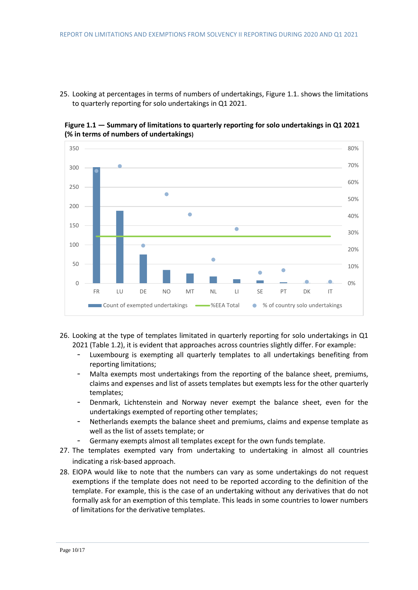25. Looking at percentages in terms of numbers of undertakings, Figure 1.1. shows the limitations to quarterly reporting for solo undertakings in Q1 2021.



**Figure 1.1 — Summary of limitations to quarterly reporting for solo undertakings in Q1 2021 (% in terms of numbers of undertakings)**

- 26. Looking at the type of templates limitated in quarterly reporting for solo undertakings in Q1 2021 (Table 1.2), it is evident that approaches across countries slightly differ. For example:
	- Luxembourg is exempting all quarterly templates to all undertakings benefiting from reporting limitations;
	- Malta exempts most undertakings from the reporting of the balance sheet, premiums, claims and expenses and list of assets templates but exempts less for the other quarterly templates;
	- Denmark, Lichtenstein and Norway never exempt the balance sheet, even for the undertakings exempted of reporting other templates;
	- Netherlands exempts the balance sheet and premiums, claims and expense template as well as the list of assets template; or
	- Germany exempts almost all templates except for the own funds template.
- 27. The templates exempted vary from undertaking to undertaking in almost all countries indicating a risk-based approach.
- 28. EIOPA would like to note that the numbers can vary as some undertakings do not request exemptions if the template does not need to be reported according to the definition of the template. For example, this is the case of an undertaking without any derivatives that do not formally ask for an exemption of this template. This leads in some countries to lower numbers of limitations for the derivative templates.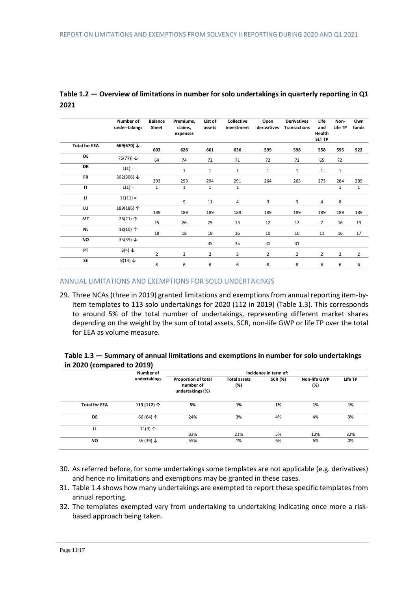|                      | Number of<br>under-takings | <b>Balance</b><br>Sheet | Premiums,<br>claims,<br>expenses | List of<br>assets | Collective<br>investment | Open<br>derivatives | <b>Derivatives</b><br><b>Transactions</b> | Life<br>and<br>Health<br><b>SLT TP</b> | Non-<br>Life TP | Own<br>funds   |
|----------------------|----------------------------|-------------------------|----------------------------------|-------------------|--------------------------|---------------------|-------------------------------------------|----------------------------------------|-----------------|----------------|
| <b>Total for EEA</b> | 669(670) ↓                 | 603                     | 626                              | 661               | 636                      | 599                 | 598                                       | 558                                    | 595             | 522            |
| DE                   | 75(77)) $\downarrow$       | 64                      | 74                               | 72                | 71                       | 72                  | 72                                        | 65                                     | 72              |                |
| DK                   | $1(1) =$                   |                         | $\mathbf{1}$                     | $\mathbf{1}$      | 1                        | 1                   | $\mathbf{1}$                              | $\mathbf{1}$                           | $\mathbf{1}$    |                |
| <b>FR</b>            | 302(306) $\downarrow$      | 293                     | 293                              | 294               | 291                      | 264                 | 263                                       | 273                                    | 284             | 289            |
| IT                   | $1(1) =$                   | $\mathbf{1}$            | $\mathbf{1}$                     | $\mathbf{1}$      | 1                        |                     |                                           |                                        | $\mathbf{1}$    | $\mathbf{1}$   |
| $\mathbf{u}$         | $11(11) =$                 |                         | 9                                | 11                | 4                        | 3                   | 3                                         | 4                                      | 8               |                |
| LU                   | 189(186) 个                 | 189                     | 189                              | 189               | 189                      | 189                 | 189                                       | 189                                    | 189             | 189            |
| MT                   | $26(21)$ $\uparrow$        | 25                      | 26                               | 25                | 13                       | 12                  | 12                                        | $\overline{7}$                         | 16              | 19             |
| NL                   | 18(10) 个                   | 18                      | 18                               | 18                | 16                       | 10                  | 10                                        | 11                                     | 16              | 17             |
| <b>NO</b>            | 35(39) $\downarrow$        |                         |                                  | 35                | 35                       | 31                  | 31                                        |                                        |                 |                |
| PT                   | $3(4) \downarrow$          | $\overline{2}$          | $\overline{2}$                   | $\overline{2}$    | 3                        | $\overline{2}$      | $\overline{2}$                            | $\overline{2}$                         | $\overline{2}$  | $\overline{2}$ |
| SE                   | $8(14) \downarrow$         | 6                       | 6                                | 6                 | 6                        | 8                   | 8                                         | 6                                      | 6               | 6              |

### **Table 1.2 — Overview of limitations in number for solo undertakings in quarterly reporting in Q1 2021**

#### <span id="page-10-0"></span>ANNUAL LIMITATIONS AND EXEMPTIONS FOR SOLO UNDERTAKINGS

29. Three NCAs (three in 2019) granted limitations and exemptions from annual reporting item-byitem templates to 113 solo undertakings for 2020 (112 in 2019) (Table 1.3). This corresponds to around 5% of the total number of undertakings, representing different market shares depending on the weight by the sum of total assets, SCR, non-life GWP or life TP over the total for EEA as volume measure.

#### **Table 1.3 — Summary of annual limitations and exemptions in number for solo undertakings in 2020 (compared to 2019)**

|                      | Number of            | Incidence in term of:                                       |                            |                |                            |         |
|----------------------|----------------------|-------------------------------------------------------------|----------------------------|----------------|----------------------------|---------|
|                      | undertakings         | <b>Proportion of total</b><br>number of<br>undertakings (%) | <b>Total assets</b><br>(%) | <b>SCR (%)</b> | <b>Non-life GWP</b><br>(%) | Life TP |
| <b>Total for EEA</b> | 113 (112) 个          | 5%                                                          | 1%                         | 1%             | 1%                         | 1%      |
| DE                   | 66 (64) 个            | 24%                                                         | 3%                         | 4%             | 4%                         | 3%      |
| п                    | $11(9)$ $\uparrow$   | 32%                                                         | 21%                        | 5%             | 12%                        | 32%     |
| <b>NO</b>            | 36 (39) $\downarrow$ | 55%                                                         | 1%                         | 6%             | 6%                         | 0%      |

- 30. As referred before, for some undertakings some templates are not applicable (e.g. derivatives) and hence no limitations and exemptions may be granted in these cases.
- 31. Table 1.4 shows how many undertakings are exempted to report these specific templates from annual reporting.
- 32. The templates exempted vary from undertaking to undertaking indicating once more a riskbased approach being taken.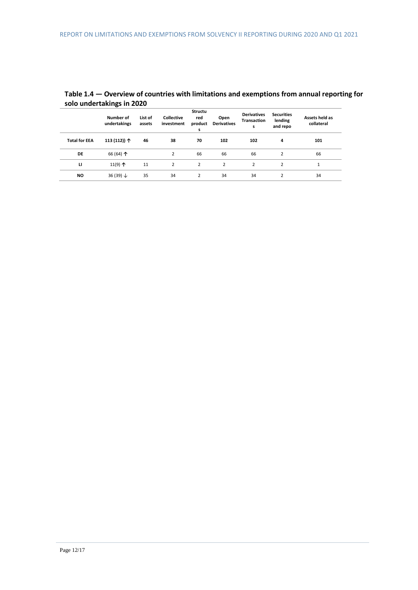|                      | ້                         |                   |                                 |                                       |                            |                                               |                                          |                              |
|----------------------|---------------------------|-------------------|---------------------------------|---------------------------------------|----------------------------|-----------------------------------------------|------------------------------------------|------------------------------|
|                      | Number of<br>undertakings | List of<br>assets | <b>Collective</b><br>investment | <b>Structu</b><br>red<br>product<br>s | Open<br><b>Derivatives</b> | <b>Derivatives</b><br><b>Transaction</b><br>s | <b>Securities</b><br>lending<br>and repo | Assets held as<br>collateral |
| <b>Total for EEA</b> | 113 (112)) 个              | 46                | 38                              | 70                                    | 102                        | 102                                           | 4                                        | 101                          |
| DE                   | 66 (64) $\uparrow$        |                   |                                 | 66                                    | 66                         | 66                                            | 2                                        | 66                           |
| ш                    | 11(9) $\uparrow$          | 11                | 2                               | 2                                     | $\overline{2}$             | 2                                             | $\overline{2}$                           | 1                            |
| <b>NO</b>            | 36 (39) $\downarrow$      | 35                | 34                              | $\overline{2}$                        | 34                         | 34                                            | 2                                        | 34                           |

### **Table 1.4 — Overview of countries with limitations and exemptions from annual reporting for solo undertakings in 2020**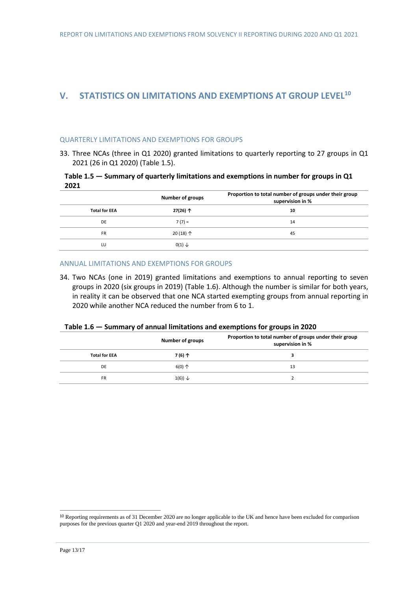# <span id="page-12-0"></span>**V. STATISTICS ON LIMITATIONS AND EXEMPTIONS AT GROUP LEVEL<sup>10</sup>**

#### <span id="page-12-1"></span>QUARTERLY LIMITATIONS AND EXEMPTIONS FOR GROUPS

33. Three NCAs (three in Q1 2020) granted limitations to quarterly reporting to 27 groups in Q1 2021 (26 in Q1 2020) (Table 1.5).

#### **Table 1.5 — Summary of quarterly limitations and exemptions in number for groups in Q1 2021**

|                      | <b>Number of groups</b> | Proportion to total number of groups under their group<br>supervision in % |
|----------------------|-------------------------|----------------------------------------------------------------------------|
| <b>Total for EEA</b> | 27(26)个                 | 10                                                                         |
| DE                   | $7(7) =$                | 14                                                                         |
| <b>FR</b>            | $20(18)$ $\uparrow$     | 45                                                                         |
| LU                   | $0(1) \downarrow$       |                                                                            |

#### <span id="page-12-2"></span>ANNUAL LIMITATIONS AND EXEMPTIONS FOR GROUPS

34. Two NCAs (one in 2019) granted limitations and exemptions to annual reporting to seven groups in 2020 (six groups in 2019) (Table 1.6). Although the number is similar for both years, in reality it can be observed that one NCA started exempting groups from annual reporting in 2020 while another NCA reduced the number from 6 to 1.

|  | Table 1.6 – Summary of annual limitations and exemptions for groups in 2020 |  |  |
|--|-----------------------------------------------------------------------------|--|--|
|--|-----------------------------------------------------------------------------|--|--|

|                      | Number of groups      | Proportion to total number of groups under their group<br>supervision in % |
|----------------------|-----------------------|----------------------------------------------------------------------------|
| <b>Total for EEA</b> | 7(6)个                 |                                                                            |
| DE                   | $6(0)$ $\uparrow$     | 13                                                                         |
| <b>FR</b>            | $1(6)$ ) $\downarrow$ |                                                                            |

<sup>&</sup>lt;sup>10</sup> Reporting requirements as of 31 December 2020 are no longer applicable to the UK and hence have been excluded for comparison purposes for the previous quarter Q1 2020 and year-end 2019 throughout the report.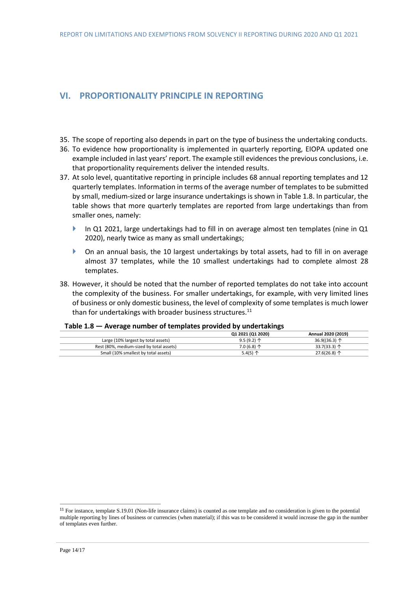# <span id="page-13-0"></span>**VI. PROPORTIONALITY PRINCIPLE IN REPORTING**

- 35. The scope of reporting also depends in part on the type of business the undertaking conducts.
- 36. To evidence how proportionality is implemented in quarterly reporting, EIOPA updated one example included in last years' report. The example still evidences the previous conclusions, i.e. that proportionality requirements deliver the intended results.
- 37. At solo level, quantitative reporting in principle includes 68 annual reporting templates and 12 quarterly templates. Information in terms of the average number of templates to be submitted by small, medium-sized or large insurance undertakings is shown in Table 1.8. In particular, the table shows that more quarterly templates are reported from large undertakings than from smaller ones, namely:
	- In Q1 2021, large undertakings had to fill in on average almost ten templates (nine in Q1 2020), nearly twice as many as small undertakings;
	- On an annual basis, the 10 largest undertakings by total assets, had to fill in on average almost 37 templates, while the 10 smallest undertakings had to complete almost 28 templates.
- 38. However, it should be noted that the number of reported templates do not take into account the complexity of the business. For smaller undertakings, for example, with very limited lines of business or only domestic business, the level of complexity of some templates is much lower than for undertakings with broader business structures. $^{11}$

#### **Table 1.8 — Average number of templates provided by undertakings**

|                                          | Q1 2021 (Q1 2020) | Annual 2020 (2019)     |
|------------------------------------------|-------------------|------------------------|
| Large (10% largest by total assets)      | $9.5(9.2)$ 个      | 36.9((36.3) $\uparrow$ |
| Rest (80%, medium-sized by total assets) | $7.0(6.8)$ 个      | 33.7(33.3) $\uparrow$  |
| Small (10% smallest by total assets)     | 5.4(5) $\uparrow$ | $27.6(26.8)$ 个         |

<sup>&</sup>lt;sup>11</sup> For instance, template S.19.01 (Non-life insurance claims) is counted as one template and no consideration is given to the potential multiple reporting by lines of business or currencies (when material); if this was to be considered it would increase the gap in the number of templates even further.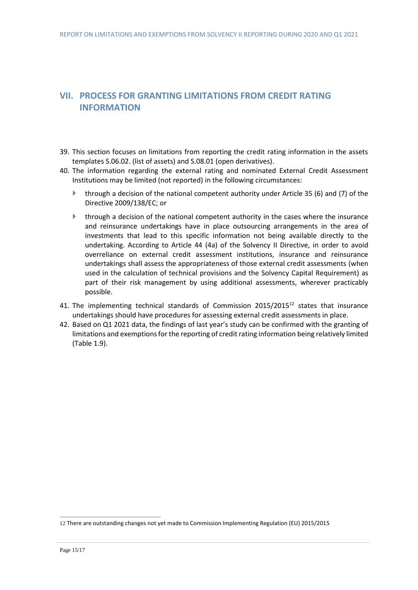# <span id="page-14-0"></span>**VII. PROCESS FOR GRANTING LIMITATIONS FROM CREDIT RATING INFORMATION**

- 39. This section focuses on limitations from reporting the credit rating information in the assets templates S.06.02. (list of assets) and S.08.01 (open derivatives).
- 40. The information regarding the external rating and nominated External Credit Assessment Institutions may be limited (not reported) in the following circumstances:
	- **through a decision of the national competent authority under Article 35 (6) and (7) of the** Directive 2009/138/EC; or
	- $\blacktriangleright$  through a decision of the national competent authority in the cases where the insurance and reinsurance undertakings have in place outsourcing arrangements in the area of investments that lead to this specific information not being available directly to the undertaking. According to Article 44 (4a) of the Solvency II Directive, in order to avoid overreliance on external credit assessment institutions, insurance and reinsurance undertakings shall assess the appropriateness of those external credit assessments (when used in the calculation of technical provisions and the Solvency Capital Requirement) as part of their risk management by using additional assessments, wherever practicably possible.
- 41. The implementing technical standards of Commission 2015/2015<sup>12</sup> states that insurance undertakings should have procedures for assessing external credit assessments in place.
- 42. Based on Q1 2021 data, the findings of last year's study can be confirmed with the granting of limitations and exemptions for the reporting of credit rating information being relatively limited (Table 1.9).

<sup>12</sup> There are outstanding changes not yet made to Commission Implementing Regulation (EU) 2015/2015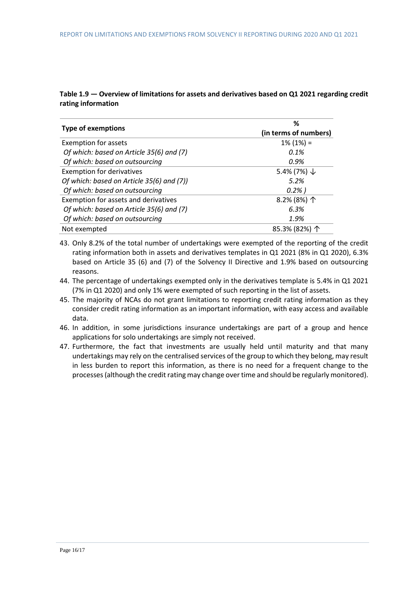### **Table 1.9 — Overview of limitations for assets and derivatives based on Q1 2021 regarding credit rating information**

|                                           | ℅                      |  |  |  |
|-------------------------------------------|------------------------|--|--|--|
| <b>Type of exemptions</b>                 | (in terms of numbers)  |  |  |  |
| <b>Exemption for assets</b>               | $1\%$ (1%) =           |  |  |  |
| Of which: based on Article 35(6) and (7)  | 0.1%                   |  |  |  |
| Of which: based on outsourcing            | 0.9%                   |  |  |  |
| <b>Exemption for derivatives</b>          | 5.4% (7%) $\downarrow$ |  |  |  |
| Of which: based on Article 35(6) and (7)) | 5.2%                   |  |  |  |
| Of which: based on outsourcing            | $0.2%$ )               |  |  |  |
| Exemption for assets and derivatives      | 8.2% (8%) 个            |  |  |  |
| Of which: based on Article 35(6) and (7)  | 6.3%                   |  |  |  |
| Of which: based on outsourcing            | 1.9%                   |  |  |  |
| Not exempted                              | 85.3% (82%) 个          |  |  |  |

43. Only 8.2% of the total number of undertakings were exempted of the reporting of the credit rating information both in assets and derivatives templates in Q1 2021 (8% in Q1 2020), 6.3% based on Article 35 (6) and (7) of the Solvency II Directive and 1.9% based on outsourcing reasons.

- 44. The percentage of undertakings exempted only in the derivatives template is 5.4% in Q1 2021 (7% in Q1 2020) and only 1% were exempted of such reporting in the list of assets.
- 45. The majority of NCAs do not grant limitations to reporting credit rating information as they consider credit rating information as an important information, with easy access and available data.
- 46. In addition, in some jurisdictions insurance undertakings are part of a group and hence applications for solo undertakings are simply not received.
- 47. Furthermore, the fact that investments are usually held until maturity and that many undertakings may rely on the centralised services of the group to which they belong, may result in less burden to report this information, as there is no need for a frequent change to the processes (although the credit rating may change over time and should be regularly monitored).